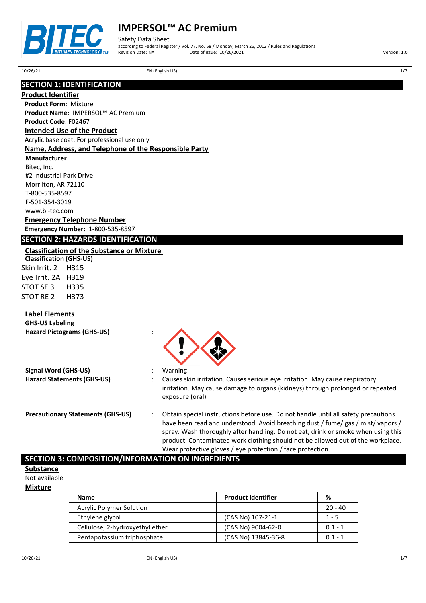

Safety Data Sheet according to Federal Register / Vol. 77, No. 58 / Monday, March 26, 2012 / Rules and Regulations Provide of issue:  $10/26/2021$  Version: 1.0

10/26/21 EN (English US) 1/7

# **SECTION 1: IDENTIFICATION**

**Product Identifier**

**Product Form**: Mixture **Product Name**: IMPERSOL™ AC Premium

### **Product Code**: F02467 **Intended Use of the Product**

Acrylic base coat. For professional use only

### **Name, Address, and Telephone of the Responsible Party**

**Manufacturer**

Bitec, Inc. #2 Industrial Park Drive Morrilton, AR 72110 T-800-535-8597 F-501-354-3019 www.bi-tec.com

## **Emergency Telephone Number**

**Emergency Number:** 1-800-535-8597

# **SECTION 2: HAZARDS IDENTIFICATION**

### **Classification of the Substance or Mixture**

**Classification (GHS-US)** Skin Irrit. 2 H315 Eye Irrit. 2A H319 STOT SE 3 H335 STOT RE 2 H373

## **Label Elements**

| <b>GHS-US Labeling</b><br><b>Hazard Pictograms (GHS-US)</b> |                                                                                                                                                                                                                                                                                                                                                                                                              |
|-------------------------------------------------------------|--------------------------------------------------------------------------------------------------------------------------------------------------------------------------------------------------------------------------------------------------------------------------------------------------------------------------------------------------------------------------------------------------------------|
| Signal Word (GHS-US)<br><b>Hazard Statements (GHS-US)</b>   | Warning<br>Causes skin irritation. Causes serious eye irritation. May cause respiratory<br>irritation. May cause damage to organs (kidneys) through prolonged or repeated<br>exposure (oral)                                                                                                                                                                                                                 |
| <b>Precautionary Statements (GHS-US)</b>                    | Obtain special instructions before use. Do not handle until all safety precautions<br>have been read and understood. Avoid breathing dust / fume/ gas / mist/ vapors /<br>spray. Wash thoroughly after handling. Do not eat, drink or smoke when using this<br>product. Contaminated work clothing should not be allowed out of the workplace.<br>Wear protective gloves / eye protection / face protection. |

## **SECTION 3: COMPOSITION/INFORMATION ON INGREDIENTS**

### **Substance**

Not available

### **Mixture**

| <b>Name</b>                     | <b>Product identifier</b> | %         |
|---------------------------------|---------------------------|-----------|
| <b>Acrylic Polymer Solution</b> |                           | $20 - 40$ |
| Ethylene glycol                 | (CAS No) 107-21-1         | $1 - 5$   |
| Cellulose, 2-hydroxyethyl ether | (CAS No) 9004-62-0        | $0.1 - 1$ |
| Pentapotassium triphosphate     | (CAS No) 13845-36-8       | $0.1 - 1$ |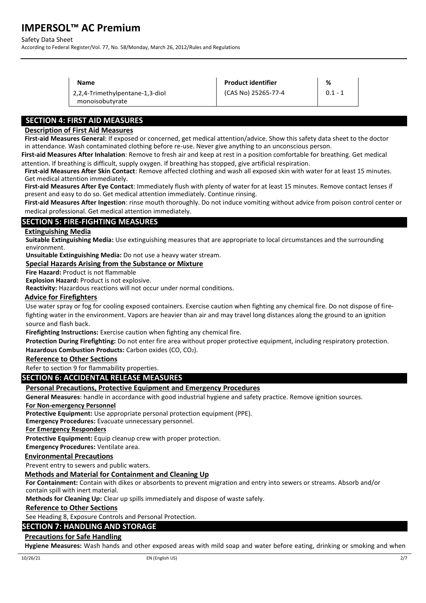#### Safety Data Sheet

According to Federal Register/Vol. 77, No. 58/Monday, March 26, 2012/Rules and Regulations

| <b>Name</b>                                        | <b>Product identifier</b> | %         |
|----------------------------------------------------|---------------------------|-----------|
| 2,2,4-Trimethylpentane-1,3-diol<br>monoisobutyrate | (CAS No) 25265-77-4       | $0.1 - 1$ |

## **SECTION 4: FIRST AID MEASURES**

### **Description of First Aid Measures**

**First-aid Measures General**: If exposed or concerned, get medical attention/advice. Show this safety data sheet to the doctor in attendance. Wash contaminated clothing before re-use. Never give anything to an unconscious person.

**First-aid Measures After Inhalation**: Remove to fresh air and keep at rest in a position comfortable for breathing. Get medical attention. If breathing is difficult, supply oxygen. If breathing has stopped, give artificial respiration.

**First-aid Measures After Skin Contact**: Remove affected clothing and wash all exposed skin with water for at least 15 minutes. Get medical attention immediately.

**First-aid Measures After Eye Contact**: Immediately flush with plenty of water for at least 15 minutes. Remove contact lenses if present and easy to do so. Get medical attention immediately. Continue rinsing.

**First-aid Measures After Ingestion**: rinse mouth thoroughly. Do not induce vomiting without advice from poison control center or medical professional. Get medical attention immediately.

## **SECTION 5: FIRE-FIGHTING MEASURES**

#### **Extinguishing Media**

**Suitable Extinguishing Media:** Use extinguishing measures that are appropriate to local circumstances and the surrounding environment.

**Unsuitable Extinguishing Media:** Do not use a heavy water stream.

### **Special Hazards Arising from the Substance or Mixture**

**Fire Hazard:** Product is not flammable

**Explosion Hazard:** Product is not explosive.

**Reactivity:** Hazardous reactions will not occur under normal conditions.

#### **Advice for Firefighters**

Use water spray or fog for cooling exposed containers. Exercise caution when fighting any chemical fire. Do not dispose of firefighting water in the environment. Vapors are heavier than air and may travel long distances along the ground to an ignition source and flash back.

**Firefighting Instructions:** Exercise caution when fighting any chemical fire.

**Protection During Firefighting:** Do not enter fire area without proper protective equipment, including respiratory protection. **Hazardous Combustion Products:** Carbon oxides (CO, CO2).

#### **Reference to Other Sections**

Refer to section 9 for flammability properties.

## **SECTION 6: ACCIDENTAL RELEASE MEASURES**

### **Personal Precautions, Protective Equipment and Emergency Procedures**

**General Measures**: handle in accordance with good industrial hygiene and safety practice. Remove ignition sources.

#### **For Non-emergency Personnel**

**Protective Equipment:** Use appropriate personal protection equipment (PPE).

**Emergency Procedures:** Evacuate unnecessary personnel.

### **For Emergency Responders**

**Protective Equipment:** Equip cleanup crew with proper protection.

**Emergency Procedures:** Ventilate area.

### **Environmental Precautions**

Prevent entry to sewers and public waters.

### **Methods and Material for Containment and Cleaning Up**

**For Containment:** Contain with dikes or absorbents to prevent migration and entry into sewers or streams. Absorb and/or contain spill with inert material.

**Methods for Cleaning Up:** Clear up spills immediately and dispose of waste safely.

### **Reference to Other Sections**

See Heading 8, Exposure Controls and Personal Protection.

### **SECTION 7: HANDLING AND STORAGE**

### **Precautions for Safe Handling**

**Hygiene Measures:** Wash hands and other exposed areas with mild soap and water before eating, drinking or smoking and when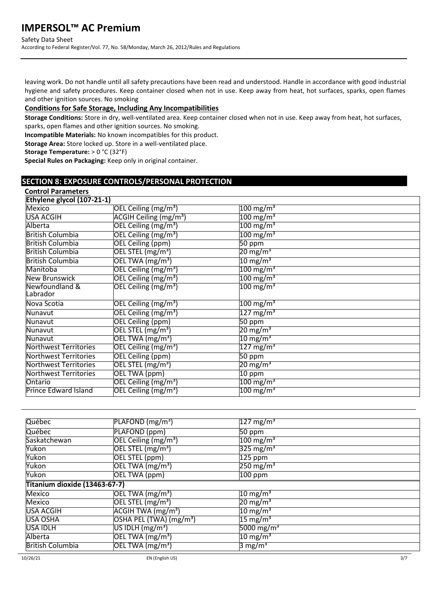Safety Data Sheet

According to Federal Register/Vol. 77, No. 58/Monday, March 26, 2012/Rules and Regulations

leaving work. Do not handle until all safety precautions have been read and understood. Handle in accordance with good industrial hygiene and safety procedures. Keep container closed when not in use. Keep away from heat, hot surfaces, sparks, open flames and other ignition sources. No smoking

### **Conditions for Safe Storage, Including Any Incompatibilities**

**Storage Conditions:** Store in dry, well-ventilated area. Keep container closed when not in use. Keep away from heat, hot surfaces, sparks, open flames and other ignition sources. No smoking.

**Incompatible Materials:** No known incompatibles for this product.

**Storage Area:** Store locked up. Store in a well-ventilated place.

**Storage Temperature:** > 0 °C (32°F)

**Special Rules on Packaging:** Keep only in original container.

## **SECTION 8: EXPOSURE CONTROLS/PERSONAL PROTECTION**

| <b>Control Parameters</b>    |                                       |                         |  |
|------------------------------|---------------------------------------|-------------------------|--|
| Ethylene glycol (107-21-1)   |                                       |                         |  |
| Mexico                       | OEL Ceiling (mg/m <sup>3</sup> )      | $100 \text{ mg/m}^3$    |  |
| <b>USA ACGIH</b>             | ACGIH Ceiling (mg/m <sup>3</sup> )    | $100 \,\mathrm{mg/m^3}$ |  |
| Alberta                      | OEL Ceiling (mg/m <sup>3</sup> )      | $100 \,\mathrm{mg/m^3}$ |  |
| <b>British Columbia</b>      | OEL Ceiling (mg/m <sup>3</sup> )      | $100 \text{ mg/m}^3$    |  |
| <b>British Columbia</b>      | <b>OEL Ceiling (ppm)</b>              | 50 ppm                  |  |
| <b>British Columbia</b>      | OEL STEL (mg/m <sup>3</sup> )         | 20 mg/m <sup>3</sup>    |  |
| <b>British Columbia</b>      | OEL TWA (mg/m <sup>3</sup> )          | $10 \text{ mg/m}^3$     |  |
| Manitoba                     | OEL Ceiling (mg/m <sup>3</sup> )      | $100 \text{ mg/m}^3$    |  |
| <b>New Brunswick</b>         | OEL Ceiling (mg/m <sup>3</sup> )      | $100 \,\mathrm{mg/m^3}$ |  |
| Newfoundland &<br>Labrador   | OEL Ceiling (mg/m <sup>3</sup> )      | $100 \,\mathrm{mg/m^3}$ |  |
| Nova Scotia                  | OEL Ceiling (mg/m <sup>3</sup> )      | $100 \,\mathrm{mg/m^3}$ |  |
| Nunavut                      | OEL Ceiling (mg/m <sup>3</sup> )      | $127 \,\mathrm{mg/m^3}$ |  |
| Nunavut                      | <b>OEL Ceiling (ppm)</b>              | $50$ ppm                |  |
| Nunavut                      | $\overline{\sf OEL}$ STEL (mg/m $^3)$ | 20 mg/m <sup>3</sup>    |  |
| Nunavut                      | OEL TWA (mg/m <sup>3</sup> )          | $10 \text{ mg/m}^3$     |  |
| Northwest Territories        | OEL Ceiling (mg/m <sup>3</sup> )      | $127 \,\mathrm{mg/m^3}$ |  |
| Northwest Territories        | <b>OEL Ceiling (ppm)</b>              | $\overline{5}0$ ppm     |  |
| <b>Northwest Territories</b> | OEL STEL (mg/m <sup>3</sup> )         | 20 mg/m <sup>3</sup>    |  |
| <b>Northwest Territories</b> | OEL TWA (ppm)                         | 10 ppm                  |  |
| Ontario                      | OEL Ceiling (mg/m <sup>3</sup> )      | $100 \,\mathrm{mg/m^3}$ |  |
| Prince Edward Island         | OEL Ceiling (mg/m <sup>3</sup> )      | $100 \,\mathrm{mg/m^3}$ |  |

| Québec                        | PLAFOND (mg/m <sup>3</sup> )              | $127 \,\mathrm{mg/m^3}$ |  |
|-------------------------------|-------------------------------------------|-------------------------|--|
| Québec                        | PLAFOND (ppm)                             | 50 ppm                  |  |
| Saskatchewan                  | OEL Ceiling (mg/m <sup>3</sup> )          | $100 \,\mathrm{mg/m^3}$ |  |
| Yukon                         | $\overline{OEL$ STEL (mg/m <sup>3</sup> ) | $325 \text{ mg/m}^3$    |  |
| Yukon                         | OEL STEL (ppm)                            | $125$ ppm               |  |
| Yukon                         | OEL TWA $(mg/m3)$                         | $250 \,\mathrm{mg/m^3}$ |  |
| Yukon                         | OEL TWA (ppm)                             | $100$ ppm               |  |
| Titanium dioxide (13463-67-7) |                                           |                         |  |
| Mexico                        | OEL TWA $(mg/m3)$                         | $10 \text{ mg/m}^3$     |  |
| <b>Mexico</b>                 | OEL STEL $(mg/m^3)$                       | $20 \text{ mg/m}^3$     |  |
| <b>USA ACGIH</b>              | ACGIH TWA (mg/m <sup>3</sup> )            | $10 \text{ mg/m}^3$     |  |
| <b>USA OSHA</b>               | OSHA PEL (TWA) (mg/m <sup>3</sup> )       | $15 \text{ mg/m}^3$     |  |
| USA IDLH                      | US IDLH $(mg/m3)$                         | 5000 mg/m <sup>3</sup>  |  |
| Alberta                       | OEL TWA $(mg/m^3)$                        | $10 \text{ mg/m}^3$     |  |
| <b>British Columbia</b>       | OEL TWA (mg/m <sup>3</sup> )              | 3 mg/m <sup>3</sup>     |  |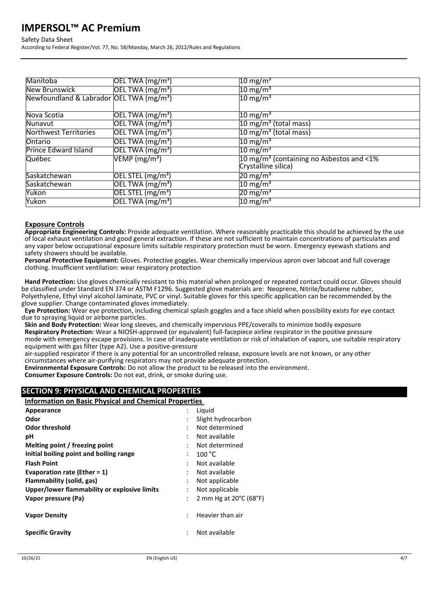### Safety Data Sheet

According to Federal Register/Vol. 77, No. 58/Monday, March 26, 2012/Rules and Regulations

| Manitoba                                             | $\overline{OEL}$ TWA (mg/m <sup>3</sup> ) | 10 mg/m <sup>3</sup>                                                              |
|------------------------------------------------------|-------------------------------------------|-----------------------------------------------------------------------------------|
| <b>New Brunswick</b>                                 | OEL TWA $(mg/m3)$                         | 10 mg/m <sup>3</sup>                                                              |
| Newfoundland & Labrador OEL TWA (mg/m <sup>3</sup> ) |                                           | 10 mg/m $^3$                                                                      |
| Nova Scotia                                          | OEL TWA (mg/m <sup>3</sup> )              | 10 mg/m <sup>3</sup>                                                              |
| Nunavut                                              | OEL TWA $(mg/m3)$                         | 10 mg/m <sup>3</sup> (total mass)                                                 |
| <b>Northwest Territories</b>                         | OEL TWA $(mg/m3)$                         | 10 mg/m <sup>3</sup> (total mass)                                                 |
| Ontario                                              | [OEL TWA (mg/m <sup>3</sup> )]            | $10 \text{ mg/m}^3$                                                               |
| <b>Prince Edward Island</b>                          | $\overline{OEL TWA (mg/m^3)}$             | $10 \text{ mg/m}^3$                                                               |
| Québec                                               | VEMP (mg/m <sup>3</sup> )                 | 10 mg/m <sup>3</sup> (containing no Asbestos and $\leq$ 1%<br>Crystalline silica) |
| Saskatchewan                                         | OEL STEL $(mg/m3)$                        | $20 \text{ mg/m}^3$                                                               |
| Saskatchewan                                         | [OEL TWA (mg/m <sup>3</sup> )]            | 10 mg/m <sup>3</sup>                                                              |
| Yukon                                                | $[OEL$ STEL $(mg/m3)$                     | $20 \text{ mg/m}^3$                                                               |
| Yukon                                                | $\overline{OEL TWA}$ (mg/m <sup>3</sup> ) | 10 mg/m <sup>3</sup>                                                              |

### **Exposure Controls**

**Appropriate Engineering Controls:** Provide adequate ventilation. Where reasonably practicable this should be achieved by the use of local exhaust ventilation and good general extraction. If these are not sufficient to maintain concentrations of particulates and any vapor below occupational exposure limits suitable respiratory protection must be worn. Emergency eyewash stations and safety showers should be available.

**Personal Protective Equipment:** Gloves. Protective goggles. Wear chemically impervious apron over labcoat and full coverage clothing. Insufficient ventilation: wear respiratory protection

**Hand Protection:** Use gloves chemically resistant to this material when prolonged or repeated contact could occur. Gloves should be classified under Standard EN 374 or ASTM F1296. Suggested glove materials are: Neoprene, Nitrile/butadiene rubber, Polyethylene, Ethyl vinyl alcohol laminate, PVC or vinyl. Suitable gloves for this specific application can be recommended by the glove supplier. Change contaminated gloves immediately.

**Eye Protection:** Wear eye protection, including chemical splash goggles and a face shield when possibility exists for eye contact due to spraying liquid or airborne particles.

**Skin and Body Protection:** Wear long sleeves, and chemically impervious PPE/coveralls to minimize bodily exposure **Respiratory Protection:** Wear a NIOSH-approved (or equivalent) full-facepiece airline respirator in the positive pressure mode with emergency escape provisions. In case of inadequate ventilation or risk of inhalation of vapors, use suitable respiratory equipment with gas filter (type A2). Use a positive-pressure

air-supplied respirator if there is any potential for an uncontrolled release, exposure levels are not known, or any other circumstances where air-purifying respirators may not provide adequate protection.

**Environmental Exposure Controls:** Do not allow the product to be released into the environment.

**Consumer Exposure Controls:** Do not eat, drink, or smoke during use.

# **SECTION 9: PHYSICAL AND CHEMICAL PROPERTIES**

**Information on Basic Physical and Chemical Properties** 

|                | Liguid                                      |
|----------------|---------------------------------------------|
|                | Slight hydrocarbon                          |
| ٠              | Not determined                              |
|                | Not available                               |
| ٠              | Not determined                              |
|                | 100 °C                                      |
| ٠              | Not available                               |
| ٠              | Not available                               |
| ٠              | Not applicable                              |
|                | Not applicable                              |
| $\ddot{\cdot}$ | 2 mm Hg at $20^{\circ}$ C (68 $^{\circ}$ F) |
|                | Heavier than air                            |
| ÷              | Not available                               |
|                |                                             |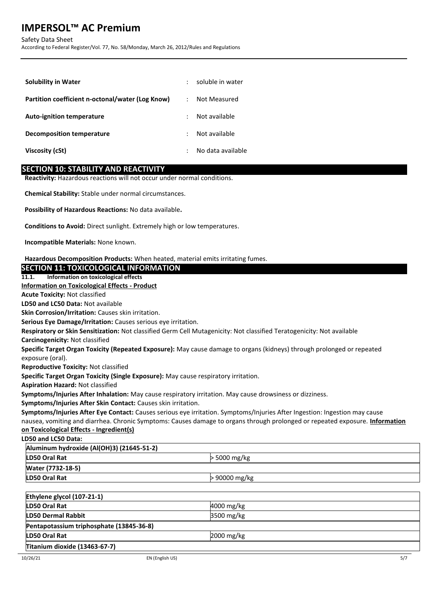Safety Data Sheet

According to Federal Register/Vol. 77, No. 58/Monday, March 26, 2012/Rules and Regulations

| <b>Solubility in Water</b>                       | ÷                    | soluble in water  |
|--------------------------------------------------|----------------------|-------------------|
| Partition coefficient n-octonal/water (Log Know) | $\ddot{\phantom{a}}$ | Not Measured      |
| <b>Auto-ignition temperature</b>                 |                      | Not available     |
| Decomposition temperature                        | ÷                    | Not available     |
| Viscosity (cSt)                                  |                      | No data available |

## **SECTION 10: STABILITY AND REACTIVITY**

**Reactivity:** Hazardous reactions will not occur under normal conditions.

**Chemical Stability:** Stable under normal circumstances.

**Possibility of Hazardous Reactions:** No data available**.**

**SECTION 11: TOXICOLOGICAL INFORMATION**

**Conditions to Avoid:** Direct sunlight. Extremely high or low temperatures.

**Incompatible Materials:** None known.

**Hazardous Decomposition Products:** When heated, material emits irritating fumes.

# **11.1. Information on toxicological effects Information on Toxicological Effects - Product Acute Toxicity:** Not classified **LD50 and LC50 Data:** Not available **Skin Corrosion/Irritation:** Causes skin irritation. **Serious Eye Damage/Irritation:** Causes serious eye irritation. **Respiratory or Skin Sensitization:** Not classified Germ Cell Mutagenicity: Not classified Teratogenicity: Not available **Carcinogenicity:** Not classified **Specific Target Organ Toxicity (Repeated Exposure):** May cause damage to organs (kidneys) through prolonged or repeated exposure (oral). **Reproductive Toxicity:** Not classified **Specific Target Organ Toxicity (Single Exposure):** May cause respiratory irritation. **Aspiration Hazard:** Not classified **Symptoms/Injuries After Inhalation:** May cause respiratory irritation. May cause drowsiness or dizziness. **Symptoms/Injuries After Skin Contact:** Causes skin irritation. **Symptoms/Injuries After Eye Contact:** Causes serious eye irritation. Symptoms/Injuries After Ingestion: Ingestion may cause nausea, vomiting and diarrhea. Chronic Symptoms: Causes damage to organs through prolonged or repeated exposure. **Information on Toxicological Effects - Ingredient(s) LD50 and LC50 Data: Aluminum hydroxide (Al(OH)3) (21645-51-2) LD50 Oral Rat**  $\geq$  5000 mg/kg **Water (7732-18-5) LD50 Oral Rat**  $> 90000$  mg/kg **Ethylene glycol (107-21-1) LD50 Oral Rat** 4000 mg/kg **LD50 Dermal Rabbit** 3500 mg/kg **Pentapotassium triphosphate (13845-36-8) LD50 Oral Rat** 2000 mg/kg

**Titanium dioxide (13463-67-7)**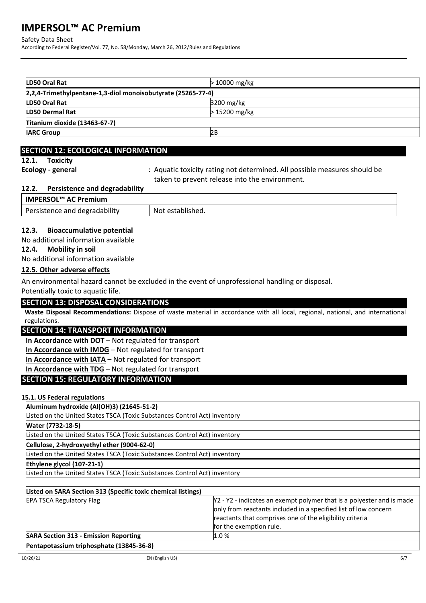Safety Data Sheet

According to Federal Register/Vol. 77, No. 58/Monday, March 26, 2012/Rules and Regulations

| LD50 Oral Rat                                                 | $>10000$ mg/kg   |
|---------------------------------------------------------------|------------------|
| [2,2,4-Trimethylpentane-1,3-diol monoisobutyrate (25265-77-4) |                  |
| LD50 Oral Rat                                                 | $3200$ mg/kg     |
| <b>LD50 Dermal Rat</b>                                        | > 15200 mg/kg    |
| Titanium dioxide (13463-67-7)                                 |                  |
| <b>IARC Group</b>                                             | l <sub>2</sub> B |

## **SECTION 12: ECOLOGICAL INFORMATION**

**12.1. Toxicity**

**Ecology - general** : Aquatic toxicity rating not determined. All possible measures should be taken to prevent release into the environment.

## **12.2. Persistence and degradability**

| <b>IMPERSOL™ AC Premium</b>   |                  |
|-------------------------------|------------------|
| Persistence and degradability | Not established. |

## **12.3. Bioaccumulative potential**

No additional information available

**12.4. Mobility in soil**

No additional information available

## **12.5. Other adverse effects**

An environmental hazard cannot be excluded in the event of unprofessional handling or disposal.

Potentially toxic to aquatic life.

## **SECTION 13: DISPOSAL CONSIDERATIONS**

**Waste Disposal Recommendations:** Dispose of waste material in accordance with all local, regional, national, and international regulations.

## **SECTION 14: TRANSPORT INFORMATION**

**In Accordance with DOT** – Not regulated for transport

**In Accordance with IMDG** – Not regulated for transport

**In Accordance with IATA** – Not regulated for transport

**In Accordance with TDG** – Not regulated for transport

# **SECTION 15: REGULATORY INFORMATION**

## **15.1. US Federal regulations**

**Aluminum hydroxide (Al(OH)3) (21645-51-2)**

Listed on the United States TSCA (Toxic Substances Control Act) inventory

**Water (7732-18-5)**

Listed on the United States TSCA (Toxic Substances Control Act) inventory

**Cellulose, 2-hydroxyethyl ether (9004-62-0)**

Listed on the United States TSCA (Toxic Substances Control Act) inventory

### **Ethylene glycol (107-21-1)**

Listed on the United States TSCA (Toxic Substances Control Act) inventory

| Listed on SARA Section 313 (Specific toxic chemical listings) |                                                                                                                                                                                                                                 |
|---------------------------------------------------------------|---------------------------------------------------------------------------------------------------------------------------------------------------------------------------------------------------------------------------------|
| <b>EPA TSCA Regulatory Flag</b>                               | Y2 - Y2 - indicates an exempt polymer that is a polyester and is made<br>only from reactants included in a specified list of low concern<br>reactants that comprises one of the eligibility criteria<br>for the exemption rule. |
| <b>SARA Section 313 - Emission Reporting</b>                  | 1.0%                                                                                                                                                                                                                            |
| Pentapotassium triphosphate (13845-36-8)                      |                                                                                                                                                                                                                                 |